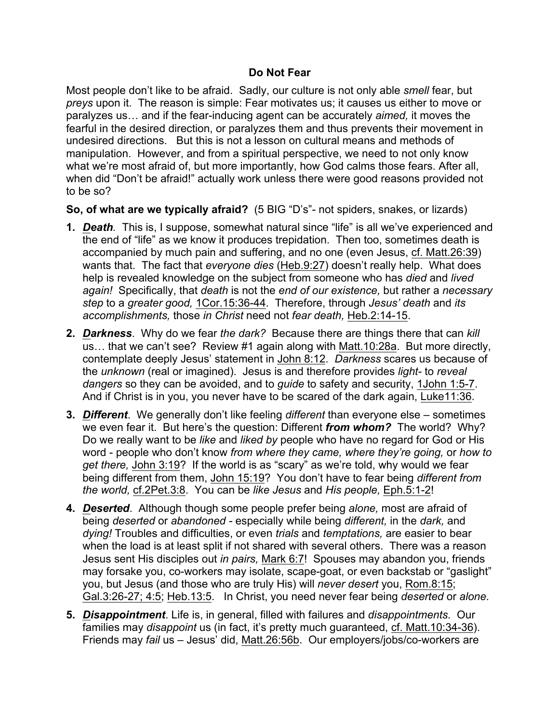## **Do Not Fear**

Most people don't like to be afraid. Sadly, our culture is not only able *smell* fear, but *preys* upon it. The reason is simple: Fear motivates us; it causes us either to move or paralyzes us… and if the fear-inducing agent can be accurately *aimed,* it moves the fearful in the desired direction, or paralyzes them and thus prevents their movement in undesired directions. But this is not a lesson on cultural means and methods of manipulation. However, and from a spiritual perspective, we need to not only know what we're most afraid of, but more importantly, how God calms those fears. After all, when did "Don't be afraid!" actually work unless there were good reasons provided not to be so?

**So, of what are we typically afraid?** (5 BIG "D's"- not spiders, snakes, or lizards)

- **1.** *Death.* This is, I suppose, somewhat natural since "life" is all we've experienced and the end of "life" as we know it produces trepidation. Then too, sometimes death is accompanied by much pain and suffering, and no one (even Jesus, cf. Matt.26:39) wants that. The fact that *everyone dies* (Heb.9:27) doesn't really help. What does help is revealed knowledge on the subject from someone who has *died* and *lived again!* Specifically, that *death* is not the *end of our existence,* but rather a *necessary step* to a *greater good,* 1Cor.15:36-44. Therefore, through *Jesus' death* and *its accomplishments,* those *in Christ* need not *fear death,* Heb.2:14-15.
- **2.** *Darkness*. Why do we fear *the dark?* Because there are things there that can *kill*  us… that we can't see? Review #1 again along with Matt.10:28a. But more directly, contemplate deeply Jesus' statement in John 8:12. *Darkness* scares us because of the *unknown* (real or imagined). Jesus is and therefore provides *light-* to *reveal dangers* so they can be avoided, and to *guide* to safety and security, 1John 1:5-7. And if Christ is in you, you never have to be scared of the dark again, Luke11:36.
- **3.** *Different*. We generally don't like feeling *different* than everyone else sometimes we even fear it. But here's the question: Different *from whom?* The world? Why? Do we really want to be *like* and *liked by* people who have no regard for God or His word - people who don't know *from where they came, where they're going,* or *how to get there,* John 3:19? If the world is as "scary" as we're told, why would we fear being different from them, John 15:19? You don't have to fear being *different from the world,* cf.2Pet.3:8. You can be *like Jesus* and *His people,* Eph.5:1-2!
- **4.** *Deserted*. Although though some people prefer being *alone,* most are afraid of being *deserted* or *abandoned -* especially while being *different,* in the *dark,* and *dying!* Troubles and difficulties, or even *trials* and *temptations,* are easier to bear when the load is at least split if not shared with several others. There was a reason Jesus sent His disciples out *in pairs,* Mark 6:7! Spouses may abandon you, friends may forsake you, co-workers may isolate, scape-goat, or even backstab or "gaslight" you, but Jesus (and those who are truly His) will *never desert* you, Rom.8:15; Gal.3:26-27; 4:5; Heb.13:5. In Christ, you need never fear being *deserted* or *alone.*
- **5.** *Disappointment*. Life is, in general, filled with failures and *disappointments.* Our families may *disappoint* us (in fact, it's pretty much guaranteed, cf. Matt. 10:34-36). Friends may *fail* us – Jesus' did, Matt.26:56b. Our employers/jobs/co-workers are